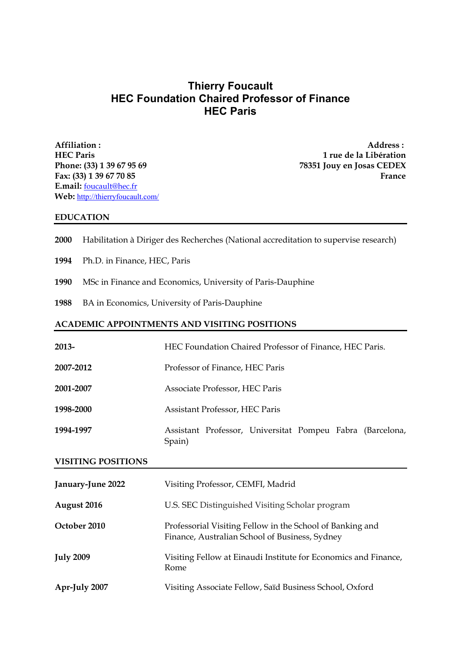# **Thierry Foucault HEC Foundation Chaired Professor of Finance HEC Paris**

**Affiliation : Address : E.mail:** foucault@hec.fr **Web:** http://thierryfoucault.com/

**HEC Paris 1 rue de la Libération Phone: (33) 1 39 67 95 69 78351 Jouy en Josas CEDEX Fax: (33) 1 39 67 70 85 France**

#### **EDUCATION**

- **2000** Habilitation à Diriger des Recherches (National accreditation to supervise research)
- **1994** Ph.D. in Finance, HEC, Paris
- **1990** MSc in Finance and Economics, University of Paris-Dauphine
- **1988** BA in Economics, University of Paris-Dauphine

#### **ACADEMIC APPOINTMENTS AND VISITING POSITIONS**

| 2013-     | HEC Foundation Chaired Professor of Finance, HEC Paris.             |
|-----------|---------------------------------------------------------------------|
| 2007-2012 | Professor of Finance, HEC Paris                                     |
| 2001-2007 | Associate Professor, HEC Paris                                      |
| 1998-2000 | Assistant Professor, HEC Paris                                      |
| 1994-1997 | Assistant Professor, Universitat Pompeu Fabra (Barcelona,<br>Spain) |

## **VISITING POSITIONS**

| January-June 2022 | Visiting Professor, CEMFI, Madrid                                                                           |
|-------------------|-------------------------------------------------------------------------------------------------------------|
| August 2016       | U.S. SEC Distinguished Visiting Scholar program                                                             |
| October 2010      | Professorial Visiting Fellow in the School of Banking and<br>Finance, Australian School of Business, Sydney |
| <b>July 2009</b>  | Visiting Fellow at Einaudi Institute for Economics and Finance,<br>Rome                                     |
| Apr-July 2007     | Visiting Associate Fellow, Saïd Business School, Oxford                                                     |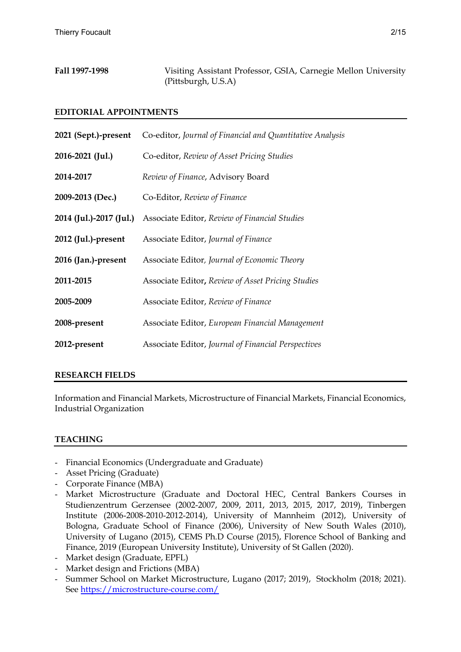| Fall 1997-1998 | Visiting Assistant Professor, GSIA, Carnegie Mellon University |  |  |
|----------------|----------------------------------------------------------------|--|--|
|                | (Pittsburgh, U.S.A)                                            |  |  |

## **EDITORIAL APPOINTMENTS**

| 2021 (Sept.)-present    | Co-editor, Journal of Financial and Quantitative Analysis |
|-------------------------|-----------------------------------------------------------|
| 2016-2021 (Jul.)        | Co-editor, Review of Asset Pricing Studies                |
| 2014-2017               | Review of Finance, Advisory Board                         |
| 2009-2013 (Dec.)        | Co-Editor, Review of Finance                              |
| 2014 (Jul.)-2017 (Jul.) | Associate Editor, Review of Financial Studies             |
| 2012 (Jul.)-present     | Associate Editor, Journal of Finance                      |
| 2016 (Jan.)-present     | Associate Editor, Journal of Economic Theory              |
| 2011-2015               | Associate Editor, Review of Asset Pricing Studies         |
| 2005-2009               | Associate Editor, Review of Finance                       |
| 2008-present            | Associate Editor, European Financial Management           |
| 2012-present            | Associate Editor, Journal of Financial Perspectives       |

### **RESEARCH FIELDS**

Information and Financial Markets, Microstructure of Financial Markets, Financial Economics, Industrial Organization

# **TEACHING**

- Financial Economics (Undergraduate and Graduate)
- Asset Pricing (Graduate)
- Corporate Finance (MBA)
- Market Microstructure (Graduate and Doctoral HEC, Central Bankers Courses in Studienzentrum Gerzensee (2002-2007, 2009, 2011, 2013, 2015, 2017, 2019), Tinbergen Institute (2006-2008-2010-2012-2014), University of Mannheim (2012), University of Bologna, Graduate School of Finance (2006), University of New South Wales (2010), University of Lugano (2015), CEMS Ph.D Course (2015), Florence School of Banking and Finance, 2019 (European University Institute), University of St Gallen (2020).
- Market design (Graduate, EPFL)
- Market design and Frictions (MBA)
- Summer School on Market Microstructure, Lugano (2017; 2019), Stockholm (2018; 2021). See https://microstructure-course.com/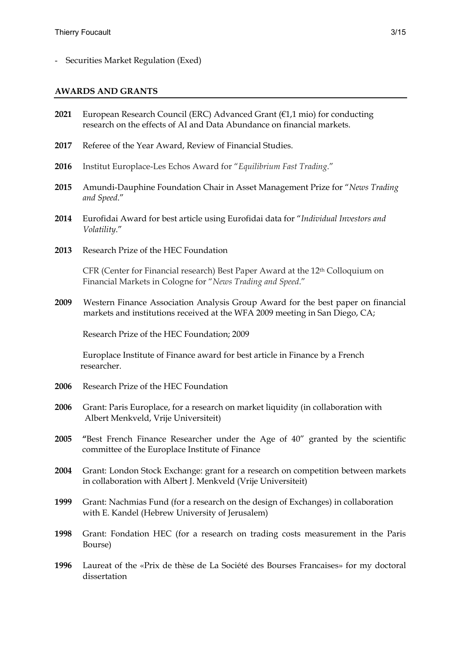- Securities Market Regulation (Exed)

#### **AWARDS AND GRANTS**

- **2021** European Research Council (ERC) Advanced Grant (€1,1 mio) for conducting research on the effects of AI and Data Abundance on financial markets.
- **2017** Referee of the Year Award, Review of Financial Studies.
- **2016** Institut Europlace-Les Echos Award for "*Equilibrium Fast Trading*."
- **2015** Amundi-Dauphine Foundation Chair in Asset Management Prize for "*News Trading and Speed*."
- **2014** Eurofidai Award for best article using Eurofidai data for "*Individual Investors and Volatility*."
- **2013** Research Prize of the HEC Foundation

CFR (Center for Financial research) Best Paper Award at the 12th Colloquium on Financial Markets in Cologne for "*News Trading and Speed*."

**2009** Western Finance Association Analysis Group Award for the best paper on financial markets and institutions received at the WFA 2009 meeting in San Diego, CA;

Research Prize of the HEC Foundation; 2009

Europlace Institute of Finance award for best article in Finance by a French researcher.

- **2006** Research Prize of the HEC Foundation
- **2006** Grant: Paris Europlace, for a research on market liquidity (in collaboration with Albert Menkveld, Vrije Universiteit)
- **2005 "**Best French Finance Researcher under the Age of 40" granted by the scientific committee of the Europlace Institute of Finance
- **2004** Grant: London Stock Exchange: grant for a research on competition between markets in collaboration with Albert J. Menkveld (Vrije Universiteit)
- **1999** Grant: Nachmias Fund (for a research on the design of Exchanges) in collaboration with E. Kandel (Hebrew University of Jerusalem)
- **1998** Grant: Fondation HEC (for a research on trading costs measurement in the Paris Bourse)
- **1996** Laureat of the «Prix de thèse de La Société des Bourses Francaises» for my doctoral dissertation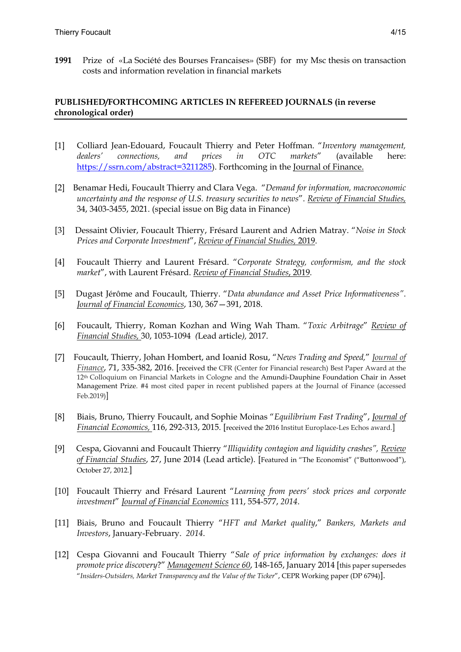**1991** Prize of «La Société des Bourses Francaises» (SBF) for my Msc thesis on transaction costs and information revelation in financial markets

## **PUBLISHED/FORTHCOMING ARTICLES IN REFEREED JOURNALS (in reverse chronological order)**

- [1] Colliard Jean-Edouard, Foucault Thierry and Peter Hoffman. "*Inventory management, dealers' connections, and prices in OTC markets*" (available here: https://ssrn.com/abstract=3211285). Forthcoming in the Journal of Finance.
- [2] Benamar Hedi, Foucault Thierry and Clara Vega. "*Demand for information, macroeconomic uncertainty and the response of U.S. treasury securities to news*". *Review of Financial Studies,*  34, 3403-3455, 2021. (special issue on Big data in Finance)
- [3] Dessaint Olivier, Foucault Thierry, Frésard Laurent and Adrien Matray. "*Noise in Stock Prices and Corporate Investment*", *Review of Financial Studies,* 2019.
- [4] Foucault Thierry and Laurent Frésard. "*Corporate Strategy, conformism, and the stock market*", with Laurent Frésard. *Review of Financial Studies*, 2019*.*
- [5] Dugast Jérôme and Foucault, Thierry. "*Data abundance and Asset Price Informativeness"*. *Journal of Financial Economics*, 130, 367—391, 2018.
- [6] Foucault, Thierry, Roman Kozhan and Wing Wah Tham. "*Toxic Arbitrage*" *Review of Financial Studies,* 30, 1053-1094 *(*Lead article*),* 2017.
- [7] Foucault, Thierry, Johan Hombert, and Ioanid Rosu, "*News Trading and Speed,*" *Journal of Finance*, 71, 335-382, 2016. [received the CFR (Center for Financial research) Best Paper Award at the 12th Colloquium on Financial Markets in Cologne and the Amundi-Dauphine Foundation Chair in Asset Management Prize. #4 most cited paper in recent published papers at the Journal of Finance (accessed Feb.2019)]
- [8] Biais, Bruno, Thierry Foucault, and Sophie Moinas "*Equilibrium Fast Trading*", *Journal of Financial Economics,* 116, 292-313, 2015. [received the 2016 Institut Europlace-Les Echos award.]
- [9] Cespa, Giovanni and Foucault Thierry "*Illiquidity contagion and liquidity crashes", Review of Financial Studies*, 27, June 2014 (Lead article). [Featured in "The Economist" ("Buttonwood"), October 27, 2012.]
- [10] Foucault Thierry and Frésard Laurent "*Learning from peers' stock prices and corporate investment*" *Journal of Financial Economics* 111, 554-577, *2014*.
- [11] Biais, Bruno and Foucault Thierry "*HFT and Market quality*," *Bankers, Markets and Investors*, January-February. *2014*.
- [12] Cespa Giovanni and Foucault Thierry "*Sale of price information by exchanges: does it promote price discovery*?" *Management Science 60*, 148-165, January 2014 [this paper supersedes "*Insiders-Outsiders, Market Transparency and the Value of the Ticker*", CEPR Working paper (DP 6794)].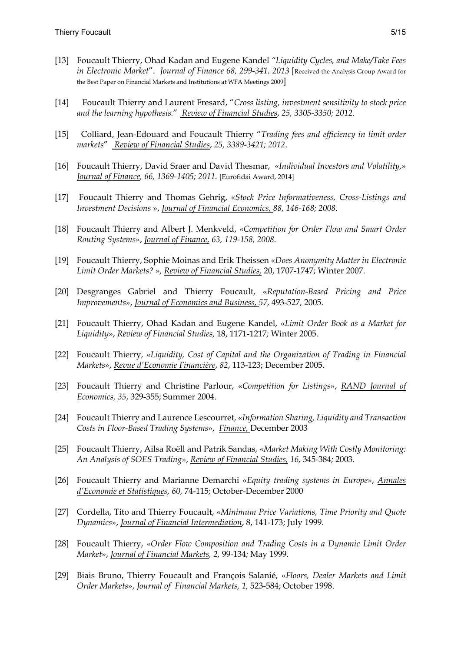- [13] Foucault Thierry, Ohad Kadan and Eugene Kandel *"Liquidity Cycles, and Make/Take Fees in Electronic Market*". *Journal of Finance 68, 299-341. 2013* [Received the Analysis Group Award for the Best Paper on Financial Markets and Institutions at WFA Meetings 2009]
- [14] Foucault Thierry and Laurent Fresard, "*Cross listing, investment sensitivity to stock price and the learning hypothesis.*" *Review of Financial Studies*, *25, 3305-3350; 2012*.
- [15] Colliard, Jean-Edouard and Foucault Thierry "*Trading fees and efficiency in limit order markets*" *Review of Financial Studies*, *25, 3389-3421; 2012*.
- [16] Foucault Thierry, David Sraer and David Thesmar, «*Individual Investors and Volatility,*» *Journal of Finance, 66, 1369-1405; 2011.* [Eurofidai Award, 2014]
- [17] Foucault Thierry and Thomas Gehrig, «*Stock Price Informativeness, Cross-Listings and Investment Decisions* », *Journal of Financial Economics, 88, 146-168; 2008.*
- [18] Foucault Thierry and Albert J. Menkveld, «*Competition for Order Flow and Smart Order Routing Systems*», *Journal of Finance, 63, 119-158, 2008.*
- [19] Foucault Thierry, Sophie Moinas and Erik Theissen «*Does Anonymity Matter in Electronic Limit Order Markets?* »*, Review of Financial Studies,* 20, 1707-1747; Winter 2007.
- [20] Desgranges Gabriel and Thierry Foucault, «*Reputation-Based Pricing and Price Improvements*», *Journal of Economics and Business, 57,* 493-527*,* 2005.
- [21] Foucault Thierry, Ohad Kadan and Eugene Kandel, «*Limit Order Book as a Market for Liquidity*», *Review of Financial Studies,* 18, 1171-1217*;* Winter 2005.
- [22] Foucault Thierry, «*Liquidity, Cost of Capital and the Organization of Trading in Financial Markets*», *Revue d'Economie Financière*, *82*, 113-123; December 2005.
- [23] Foucault Thierry and Christine Parlour, «*Competition for Listings*», *RAND Journal of Economics, 35*, 329-355; Summer 2004.
- [24] Foucault Thierry and Laurence Lescourret, «*Information Sharing, Liquidity and Transaction Costs in Floor-Based Trading Systems*», *Finance,* December 2003
- [25] Foucault Thierry, Ailsa Roëll and Patrik Sandas, «*Market Making With Costly Monitoring: An Analysis of SOES Trading*», *Review of Financial Studies, 16,* 345-384*;* 2003.
- [26] Foucault Thierry and Marianne Demarchi «*Equity trading systems in Europe*», *Annales d'Economie et Statistiques, 60,* 74-115*;* October-December 2000
- [27] Cordella, Tito and Thierry Foucault, «*Minimum Price Variations, Time Priority and Quote Dynamics*», *Journal of Financial Intermediation*, 8, 141-173; July 1999.
- [28] Foucault Thierry, «*Order Flow Composition and Trading Costs in a Dynamic Limit Order Market*», *Journal of Financial Markets, 2,* 99-134*;* May 1999.
- [29] Biais Bruno, Thierry Foucault and François Salanié, «*Floors, Dealer Markets and Limit Order Markets*», *Journal of Financial Markets, 1,* 523-584; October 1998.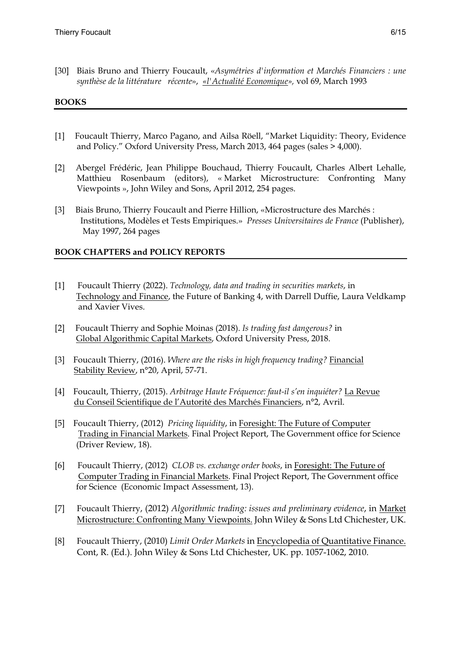[30] Biais Bruno and Thierry Foucault, «*Asymétries d'information et Marchés Financiers : une synthèse de la littérature récente*», *«l'Actualité Economique»,* vol 69, March 1993

## **BOOKS**

- [1] Foucault Thierry, Marco Pagano, and Ailsa Röell, "Market Liquidity: Theory, Evidence and Policy." Oxford University Press, March 2013, 464 pages (sales > 4,000).
- [2] Abergel Frédéric, Jean Philippe Bouchaud, Thierry Foucault, Charles Albert Lehalle, Matthieu Rosenbaum (editors), « Market Microstructure: Confronting Many Viewpoints », John Wiley and Sons, April 2012, 254 pages.
- [3] Biais Bruno, Thierry Foucault and Pierre Hillion, «Microstructure des Marchés : Institutions, Modèles et Tests Empiriques.» *Presses Universitaires de France* (Publisher), May 1997, 264 pages

# **BOOK CHAPTERS and POLICY REPORTS**

- [1] Foucault Thierry (2022). *Technology, data and trading in securities markets*, in Technology and Finance, the Future of Banking 4, with Darrell Duffie, Laura Veldkamp and Xavier Vives.
- [2] Foucault Thierry and Sophie Moinas (2018). *Is trading fast dangerous?* in Global Algorithmic Capital Markets, Oxford University Press, 2018.
- [3] Foucault Thierry, (2016). *Where are the risks in high frequency trading?* Financial Stability Review, n°20, April, 57-71.
- [4] Foucault, Thierry, (2015). *Arbitrage Haute Fréquence: faut-il s'en inquiéter?* La Revue du Conseil Scientifique de l'Autorité des Marchés Financiers, n°2, Avril.
- [5] Foucault Thierry, (2012) *Pricing liquidity*, in Foresight: The Future of Computer Trading in Financial Markets. Final Project Report, The Government office for Science (Driver Review, 18).
- [6] Foucault Thierry, (2012) *CLOB vs. exchange order books*, in Foresight: The Future of Computer Trading in Financial Markets. Final Project Report, The Government office for Science (Economic Impact Assessment, 13).
- [7] Foucault Thierry, (2012) *Algorithmic trading: issues and preliminary evidence*, in Market Microstructure: Confronting Many Viewpoints. John Wiley & Sons Ltd Chichester, UK.
- [8] Foucault Thierry, (2010) *Limit Order Markets* in Encyclopedia of Quantitative Finance. Cont, R. (Ed.). John Wiley & Sons Ltd Chichester, UK. pp. 1057-1062, 2010.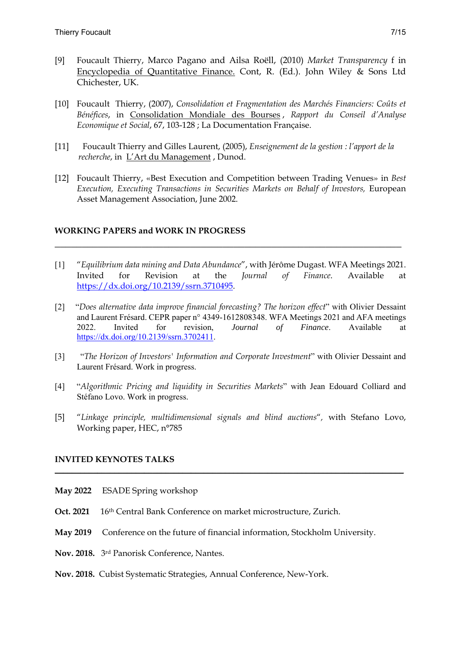- [9] Foucault Thierry, Marco Pagano and Ailsa Roëll, (2010) *Market Transparency* f in Encyclopedia of Quantitative Finance. Cont, R. (Ed.). John Wiley & Sons Ltd Chichester, UK.
- [10] Foucault Thierry, (2007), *Consolidation et Fragmentation des Marchés Financiers: Coûts et Bénéfices*, in Consolidation Mondiale des Bourses , *Rapport du Conseil d'Analyse Economique et Social*, 67, 103-128 ; La Documentation Française.
- [11] Foucault Thierry and Gilles Laurent, (2005), *Enseignement de la gestion : l'apport de la recherche*, in L'Art du Management , Dunod.
- [12] Foucault Thierry, «Best Execution and Competition between Trading Venues» in *Best Execution, Executing Transactions in Securities Markets on Behalf of Investors,* European Asset Management Association, June 2002.

### **WORKING PAPERS and WORK IN PROGRESS**

[1] "*Equilibrium data mining and Data Abundance*", with Jérôme Dugast. WFA Meetings 2021. Invited for Revision at the *Journal of Finance*. Available at https://dx.doi.org/10.2139/ssrn.3710495.

**\_\_\_\_\_\_\_\_\_\_\_\_\_\_\_\_\_\_\_\_\_\_\_\_\_\_\_\_\_\_\_\_\_\_\_\_\_\_\_\_\_\_\_\_\_\_\_\_\_\_\_\_\_\_\_\_\_\_\_\_\_\_\_\_**

- [2] "*Does alternative data improve financial forecasting? The horizon effect*" with Olivier Dessaint and Laurent Frésard. CEPR paper n° 4349-1612808348. WFA Meetings 2021 and AFA meetings 2022. Invited for revision, *Journal of Finance*. Available at https://dx.doi.org/10.2139/ssrn.3702411.
- [3] "*The Horizon of Investors' Information and Corporate Investment*" with Olivier Dessaint and Laurent Frésard. Work in progress.
- [4] "*Algorithmic Pricing and liquidity in Securities Markets*" with Jean Edouard Colliard and Stéfano Lovo. Work in progress.
- [5] "*Linkage principle, multidimensional signals and blind auctions*"*,* with Stefano Lovo, Working paper, HEC, n°785

**\_\_\_\_\_\_\_\_\_\_\_\_\_\_\_\_\_\_\_\_\_\_\_\_\_\_\_\_\_\_\_\_\_\_\_\_\_\_\_\_\_\_\_\_\_\_\_\_\_\_\_\_\_\_\_\_\_\_\_\_\_\_\_\_\_\_\_\_\_\_\_\_\_\_\_\_\_\_\_\_\_\_** 

### **INVITED KEYNOTES TALKS**

- **May 2022** ESADE Spring workshop
- Oct. 2021 16th Central Bank Conference on market microstructure, Zurich.
- **May 2019** Conference on the future of financial information, Stockholm University.
- **Nov. 2018.** 3rd Panorisk Conference, Nantes.
- **Nov. 2018.** Cubist Systematic Strategies, Annual Conference, New-York.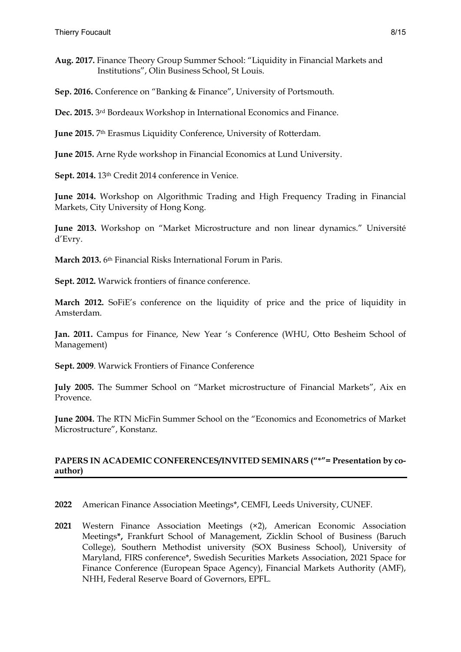**Aug. 2017.** Finance Theory Group Summer School: "Liquidity in Financial Markets and Institutions", Olin Business School, St Louis.

**Sep. 2016.** Conference on "Banking & Finance", University of Portsmouth.

**Dec. 2015.** 3rd Bordeaux Workshop in International Economics and Finance.

**June 2015.** 7th Erasmus Liquidity Conference, University of Rotterdam.

**June 2015.** Arne Ryde workshop in Financial Economics at Lund University.

**Sept. 2014.** 13th Credit 2014 conference in Venice.

**June 2014.** Workshop on Algorithmic Trading and High Frequency Trading in Financial Markets, City University of Hong Kong.

**June 2013.** Workshop on "Market Microstructure and non linear dynamics." Université d'Evry.

**March 2013.** 6th Financial Risks International Forum in Paris.

**Sept. 2012.** Warwick frontiers of finance conference.

**March 2012.** SoFiE's conference on the liquidity of price and the price of liquidity in Amsterdam.

**Jan. 2011.** Campus for Finance, New Year 's Conference (WHU, Otto Besheim School of Management)

**Sept. 2009**. Warwick Frontiers of Finance Conference

**July 2005.** The Summer School on "Market microstructure of Financial Markets", Aix en Provence.

**June 2004.** The RTN MicFin Summer School on the "Economics and Econometrics of Market Microstructure", Konstanz.

# **PAPERS IN ACADEMIC CONFERENCES/INVITED SEMINARS ("\*"= Presentation by coauthor)**

**2022** American Finance Association Meetings\*, CEMFI, Leeds University, CUNEF.

**2021** Western Finance Association Meetings (×2), American Economic Association Meetings**\*,** Frankfurt School of Management, Zicklin School of Business (Baruch College), Southern Methodist university (SOX Business School), University of Maryland, FIRS conference\*, Swedish Securities Markets Association, 2021 Space for Finance Conference (European Space Agency), Financial Markets Authority (AMF), NHH, Federal Reserve Board of Governors, EPFL.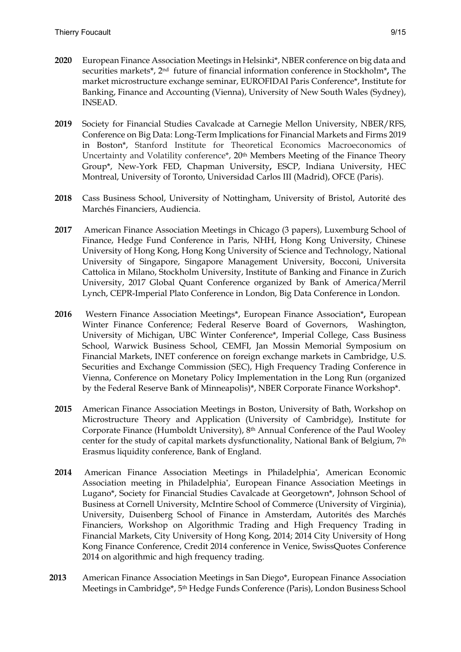- **2020** European Finance Association Meetings in Helsinki\*, NBER conference on big data and securities markets\*, 2nd future of financial information conference in Stockholm\***,** The market microstructure exchange seminar, EUROFIDAI Paris Conference\*, Institute for Banking, Finance and Accounting (Vienna), University of New South Wales (Sydney), INSEAD.
- **2019** Society for Financial Studies Cavalcade at Carnegie Mellon University, NBER/RFS, Conference on Big Data: Long-Term Implications for Financial Markets and Firms 2019 in Boston\*, Stanford Institute for Theoretical Economics Macroeconomics of Uncertainty and Volatility conference\*, 20<sup>th</sup> Members Meeting of the Finance Theory Group\*, New-York FED, Chapman University**,** ESCP, Indiana University, HEC Montreal, University of Toronto, Universidad Carlos III (Madrid), OFCE (Paris).
- **2018** Cass Business School, University of Nottingham, University of Bristol, Autorité des Marchés Financiers, Audiencia.
- **2017** American Finance Association Meetings in Chicago (3 papers), Luxemburg School of Finance, Hedge Fund Conference in Paris, NHH, Hong Kong University, Chinese University of Hong Kong, Hong Kong University of Science and Technology, National University of Singapore, Singapore Management University, Bocconi, Universita Cattolica in Milano, Stockholm University, Institute of Banking and Finance in Zurich University, 2017 Global Quant Conference organized by Bank of America/Merril Lynch, CEPR-Imperial Plato Conference in London, Big Data Conference in London.
- **2016** Western Finance Association Meetings\*, European Finance Association\***,** European Winter Finance Conference; Federal Reserve Board of Governors, Washington, University of Michigan, UBC Winter Conference\*, Imperial College, Cass Business School, Warwick Business School, CEMFI, Jan Mossin Memorial Symposium on Financial Markets, INET conference on foreign exchange markets in Cambridge, U.S. Securities and Exchange Commission (SEC), High Frequency Trading Conference in Vienna, Conference on Monetary Policy Implementation in the Long Run (organized by the Federal Reserve Bank of Minneapolis)\*, NBER Corporate Finance Workshop\*.
- **2015** American Finance Association Meetings in Boston, University of Bath, Workshop on Microstructure Theory and Application (University of Cambridge), Institute for Corporate Finance (Humboldt University), 8th Annual Conference of the Paul Wooley center for the study of capital markets dysfunctionality, National Bank of Belgium, 7th Erasmus liquidity conference, Bank of England.
- **2014** American Finance Association Meetings in Philadelphia\*, American Economic Association meeting in Philadelphia\*, European Finance Association Meetings in Lugano\*, Society for Financial Studies Cavalcade at Georgetown\*, Johnson School of Business at Cornell University, McIntire School of Commerce (University of Virginia), University, Duisenberg School of Finance in Amsterdam, Autorités des Marchés Financiers, Workshop on Algorithmic Trading and High Frequency Trading in Financial Markets, City University of Hong Kong, 2014; 2014 City University of Hong Kong Finance Conference, Credit 2014 conference in Venice, SwissQuotes Conference 2014 on algorithmic and high frequency trading.
- **2013** American Finance Association Meetings in San Diego\*, European Finance Association Meetings in Cambridge\*, 5th Hedge Funds Conference (Paris), London Business School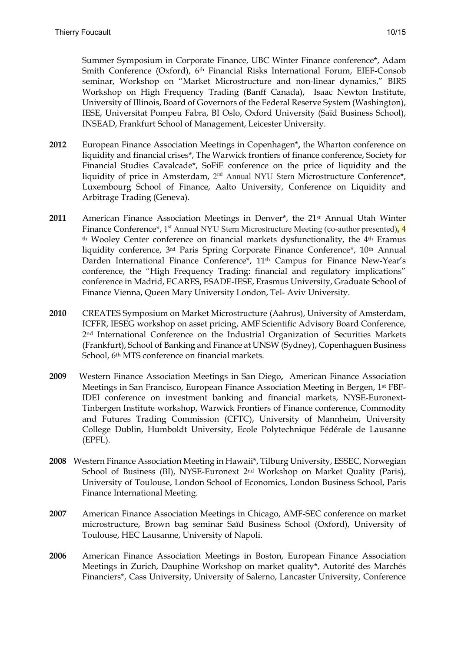Summer Symposium in Corporate Finance, UBC Winter Finance conference\*, Adam Smith Conference (Oxford), 6th Financial Risks International Forum, EIEF-Consob seminar, Workshop on "Market Microstructure and non-linear dynamics," BIRS Workshop on High Frequency Trading (Banff Canada), Isaac Newton Institute, University of Illinois, Board of Governors of the Federal Reserve System (Washington), IESE, Universitat Pompeu Fabra, BI Oslo, Oxford University (Saïd Business School), INSEAD, Frankfurt School of Management, Leicester University.

- **2012** European Finance Association Meetings in Copenhagen\***,** the Wharton conference on liquidity and financial crises\*, The Warwick frontiers of finance conference, Society for Financial Studies Cavalcade\*, SoFiE conference on the price of liquidity and the liquidity of price in Amsterdam, 2<sup>nd</sup> Annual NYU Stern Microstructure Conference\*, Luxembourg School of Finance, Aalto University, Conference on Liquidity and Arbitrage Trading (Geneva).
- **2011** American Finance Association Meetings in Denver\*, the 21st Annual Utah Winter Finance Conference<sup>\*</sup>, 1<sup>st</sup> Annual NYU Stern Microstructure Meeting (co-author presented), 4 th Wooley Center conference on financial markets dysfunctionality, the 4th Eramus liquidity conference, 3rd Paris Spring Corporate Finance Conference\*, 10th Annual Darden International Finance Conference\*, 11<sup>th</sup> Campus for Finance New-Year's conference, the "High Frequency Trading: financial and regulatory implications" conference in Madrid, ECARES, ESADE-IESE, Erasmus University, Graduate School of Finance Vienna, Queen Mary University London, Tel- Aviv University.
- **2010** CREATES Symposium on Market Microstructure (Aahrus), University of Amsterdam, ICFFR, IESEG workshop on asset pricing, AMF Scientific Advisory Board Conference, 2nd International Conference on the Industrial Organization of Securities Markets (Frankfurt), School of Banking and Finance at UNSW (Sydney), Copenhaguen Business School, 6th MTS conference on financial markets.
- **2009** Western Finance Association Meetings in San Diego**,** American Finance Association Meetings in San Francisco, European Finance Association Meeting in Bergen, 1st FBF-IDEI conference on investment banking and financial markets, NYSE-Euronext-Tinbergen Institute workshop, Warwick Frontiers of Finance conference, Commodity and Futures Trading Commission (CFTC), University of Mannheim, University College Dublin, Humboldt University, Ecole Polytechnique Fédérale de Lausanne (EPFL).
- **2008** Western Finance Association Meeting in Hawaii\*, Tilburg University, ESSEC, Norwegian School of Business (BI), NYSE-Euronext 2nd Workshop on Market Quality (Paris), University of Toulouse, London School of Economics, London Business School, Paris Finance International Meeting.
- **2007** American Finance Association Meetings in Chicago, AMF-SEC conference on market microstructure, Brown bag seminar Saïd Business School (Oxford), University of Toulouse, HEC Lausanne, University of Napoli.
- **2006** American Finance Association Meetings in Boston, European Finance Association Meetings in Zurich, Dauphine Workshop on market quality\*, Autorité des Marchés Financiers\*, Cass University, University of Salerno, Lancaster University, Conference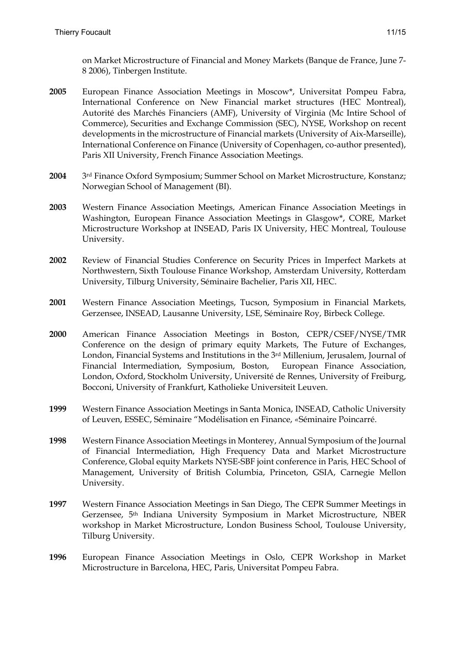on Market Microstructure of Financial and Money Markets (Banque de France, June 7- 8 2006), Tinbergen Institute.

- **2005** European Finance Association Meetings in Moscow\*, Universitat Pompeu Fabra, International Conference on New Financial market structures (HEC Montreal), Autorité des Marchés Financiers (AMF), University of Virginia (Mc Intire School of Commerce), Securities and Exchange Commission (SEC), NYSE, Workshop on recent developments in the microstructure of Financial markets (University of Aix-Marseille), International Conference on Finance (University of Copenhagen, co-author presented), Paris XII University, French Finance Association Meetings.
- **2004** 3rd Finance Oxford Symposium; Summer School on Market Microstructure, Konstanz; Norwegian School of Management (BI).
- **2003** Western Finance Association Meetings, American Finance Association Meetings in Washington, European Finance Association Meetings in Glasgow\*, CORE, Market Microstructure Workshop at INSEAD, Paris IX University, HEC Montreal, Toulouse University.
- **2002**Review of Financial Studies Conference on Security Prices in Imperfect Markets at Northwestern, Sixth Toulouse Finance Workshop, Amsterdam University, Rotterdam University, Tilburg University, Séminaire Bachelier, Paris XII, HEC.
- **2001**Western Finance Association Meetings, Tucson, Symposium in Financial Markets, Gerzensee, INSEAD, Lausanne University, LSE, Séminaire Roy, Birbeck College.
- **2000** American Finance Association Meetings in Boston, CEPR/CSEF/NYSE/TMR Conference on the design of primary equity Markets, The Future of Exchanges, London, Financial Systems and Institutions in the 3rd Millenium, Jerusalem, Journal of Financial Intermediation, Symposium, Boston, European Finance Association, London, Oxford, Stockholm University, Université de Rennes, University of Freiburg, Bocconi, University of Frankfurt, Katholieke Universiteit Leuven.
- **1999**Western Finance Association Meetings in Santa Monica, INSEAD, Catholic University of Leuven, ESSEC, Séminaire "Modélisation en Finance, *«*Séminaire Poincarré.
- **1998** Western Finance Association Meetings in Monterey, Annual Symposium of the Journal of Financial Intermediation, High Frequency Data and Market Microstructure Conference, Global equity Markets NYSE-SBF joint conference in Paris*,* HEC School of Management, University of British Columbia, Princeton, GSIA, Carnegie Mellon University.
- **1997**Western Finance Association Meetings in San Diego, The CEPR Summer Meetings in Gerzensee, 5th Indiana University Symposium in Market Microstructure, NBER workshop in Market Microstructure, London Business School, Toulouse University, Tilburg University.
- **1996**European Finance Association Meetings in Oslo, CEPR Workshop in Market Microstructure in Barcelona, HEC, Paris, Universitat Pompeu Fabra.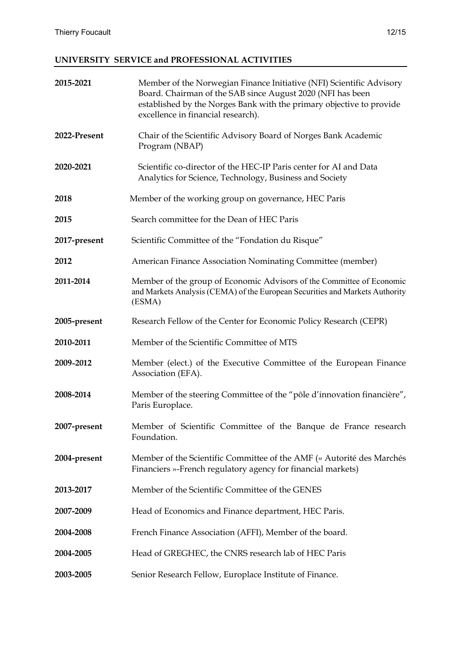# **UNIVERSITY SERVICE and PROFESSIONAL ACTIVITIES**

| 2015-2021    | Member of the Norwegian Finance Initiative (NFI) Scientific Advisory<br>Board. Chairman of the SAB since August 2020 (NFI has been<br>established by the Norges Bank with the primary objective to provide<br>excellence in financial research). |
|--------------|--------------------------------------------------------------------------------------------------------------------------------------------------------------------------------------------------------------------------------------------------|
| 2022-Present | Chair of the Scientific Advisory Board of Norges Bank Academic<br>Program (NBAP)                                                                                                                                                                 |
| 2020-2021    | Scientific co-director of the HEC-IP Paris center for AI and Data<br>Analytics for Science, Technology, Business and Society                                                                                                                     |
| 2018         | Member of the working group on governance, HEC Paris                                                                                                                                                                                             |
| 2015         | Search committee for the Dean of HEC Paris                                                                                                                                                                                                       |
| 2017-present | Scientific Committee of the "Fondation du Risque"                                                                                                                                                                                                |
| 2012         | American Finance Association Nominating Committee (member)                                                                                                                                                                                       |
| 2011-2014    | Member of the group of Economic Advisors of the Committee of Economic<br>and Markets Analysis (CEMA) of the European Securities and Markets Authority<br>(ESMA)                                                                                  |
| 2005-present | Research Fellow of the Center for Economic Policy Research (CEPR)                                                                                                                                                                                |
| 2010-2011    | Member of the Scientific Committee of MTS                                                                                                                                                                                                        |
| 2009-2012    | Member (elect.) of the Executive Committee of the European Finance<br>Association (EFA).                                                                                                                                                         |
| 2008-2014    | Member of the steering Committee of the "pôle d'innovation financière",<br>Paris Europlace.                                                                                                                                                      |
| 2007-present | Member of Scientific Committee of the Banque de France research<br>Foundation.                                                                                                                                                                   |
| 2004-present | Member of the Scientific Committee of the AMF (« Autorité des Marchés<br>Financiers »-French regulatory agency for financial markets)                                                                                                            |
| 2013-2017    | Member of the Scientific Committee of the GENES                                                                                                                                                                                                  |
| 2007-2009    | Head of Economics and Finance department, HEC Paris.                                                                                                                                                                                             |
| 2004-2008    | French Finance Association (AFFI), Member of the board.                                                                                                                                                                                          |
| 2004-2005    | Head of GREGHEC, the CNRS research lab of HEC Paris                                                                                                                                                                                              |
| 2003-2005    | Senior Research Fellow, Europlace Institute of Finance.                                                                                                                                                                                          |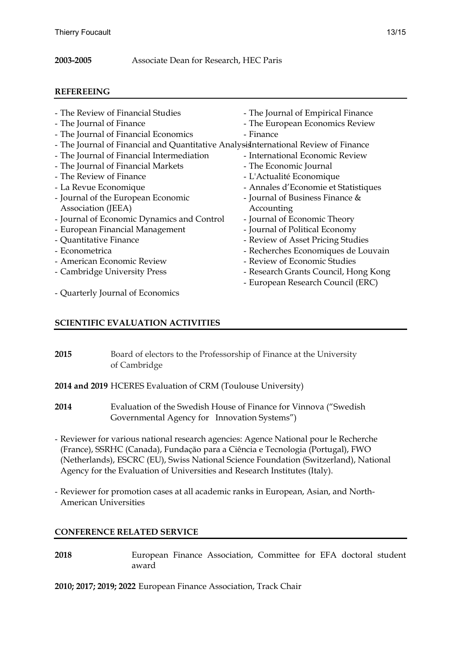## **2003-2005** Associate Dean for Research, HEC Paris

## **REFEREEING**

| - The Review of Financial Studies                                                    | - The Journal of Empirical Finance   |
|--------------------------------------------------------------------------------------|--------------------------------------|
| - The Journal of Finance                                                             | - The European Economics Review      |
| - The Journal of Financial Economics                                                 | - Finance                            |
| - The Journal of Financial and Quantitative Analysis International Review of Finance |                                      |
| - The Journal of Financial Intermediation                                            | - International Economic Review      |
| - The Journal of Financial Markets                                                   | - The Economic Journal               |
| - The Review of Finance                                                              | - L'Actualité Economique             |
| - La Revue Economique                                                                | - Annales d'Economie et Statistiques |
| - Journal of the European Economic                                                   | - Journal of Business Finance &      |
| Association (JEEA)                                                                   | Accounting                           |
| - Journal of Economic Dynamics and Control                                           | - Journal of Economic Theory         |
| - European Financial Management                                                      | - Journal of Political Economy       |
| - Quantitative Finance                                                               | - Review of Asset Pricing Studies    |
| - Econometrica                                                                       | - Recherches Economiques de Louvain  |
| - American Economic Review                                                           | - Review of Economic Studies         |
| - Cambridge University Press                                                         | - Research Grants Council, Hong Kong |
|                                                                                      | - European Research Council (ERC)    |
| - Quarterly Journal of Economics                                                     |                                      |
|                                                                                      |                                      |

# **SCIENTIFIC EVALUATION ACTIVITIES**

| 2015 | Board of electors to the Professorship of Finance at the University |
|------|---------------------------------------------------------------------|
|      | of Cambridge                                                        |

- **2014 and 2019** HCERES Evaluation of CRM (Toulouse University)
- **2014** Evaluation of the Swedish House of Finance for Vinnova ("Swedish Governmental Agency for Innovation Systems")
- Reviewer for various national research agencies: Agence National pour le Recherche (France), SSRHC (Canada), Fundação para a Ciência e Tecnologia (Portugal), FWO (Netherlands), ESCRC (EU), Swiss National Science Foundation (Switzerland), National Agency for the Evaluation of Universities and Research Institutes (Italy).
- Reviewer for promotion cases at all academic ranks in European, Asian, and North-American Universities

# **CONFERENCE RELATED SERVICE**

**2018** European Finance Association, Committee for EFA doctoral student award

**2010; 2017; 2019; 2022** European Finance Association, Track Chair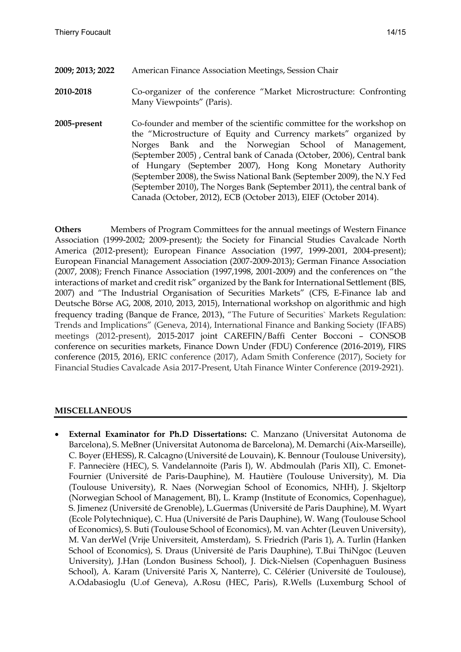- **2009; 2013; 2022** American Finance Association Meetings, Session Chair
- **2010-2018** Co-organizer of the conference "Market Microstructure: Confronting Many Viewpoints" (Paris).
- **2005-present** Co-founder and member of the scientific committee for the workshop on the "Microstructure of Equity and Currency markets" organized by Norges Bank and the Norwegian School of Management, (September 2005) , Central bank of Canada (October, 2006), Central bank of Hungary (September 2007), Hong Kong Monetary Authority (September 2008), the Swiss National Bank (September 2009), the N.Y Fed (September 2010), The Norges Bank (September 2011), the central bank of Canada (October, 2012), ECB (October 2013), EIEF (October 2014).

**Others** Members of Program Committees for the annual meetings of Western Finance Association (1999-2002; 2009-present); the Society for Financial Studies Cavalcade North America (2012-present); European Finance Association (1997, 1999-2001, 2004-present); European Financial Management Association (2007-2009-2013); German Finance Association (2007, 2008); French Finance Association (1997,1998, 2001-2009) and the conferences on "the interactions of market and credit risk" organized by the Bank for International Settlement (BIS, 2007) and "The Industrial Organisation of Securities Markets" (CFS, E-Finance lab and Deutsche Börse AG, 2008, 2010, 2013, 2015), International workshop on algorithmic and high frequency trading (Banque de France, 2013), "The Future of Securities` Markets Regulation: Trends and Implications" (Geneva, 2014), International Finance and Banking Society (IFABS) meetings (2012-present), 2015-2017 joint CAREFIN/Baffi Center Bocconi – CONSOB conference on securities markets, Finance Down Under (FDU) Conference (2016-2019), FIRS conference (2015, 2016), ERIC conference (2017), Adam Smith Conference (2017), Society for Financial Studies Cavalcade Asia 2017-Present, Utah Finance Winter Conference (2019-2921).

### **MISCELLANEOUS**

 **External Examinator for Ph.D Dissertations:** C. Manzano (Universitat Autonoma de Barcelona), S. MeBner (Universitat Autonoma de Barcelona), M. Demarchi (Aix-Marseille), C. Boyer (EHESS), R. Calcagno (Université de Louvain), K. Bennour (Toulouse University), F. Pannecière (HEC), S. Vandelannoite (Paris I), W. Abdmoulah (Paris XII), C. Emonet-Fournier (Université de Paris-Dauphine), M. Hautière (Toulouse University), M. Dia (Toulouse University), R. Naes (Norwegian School of Economics, NHH), J. Skjeltorp (Norwegian School of Management, BI), L. Kramp (Institute of Economics, Copenhague), S. Jimenez (Université de Grenoble), L.Guermas (Université de Paris Dauphine), M. Wyart (Ecole Polytechnique), C. Hua (Université de Paris Dauphine), W. Wang (Toulouse School of Economics), S. Buti (Toulouse School of Economics), M. van Achter (Leuven University), M. Van derWel (Vrije Universiteit, Amsterdam), S. Friedrich (Paris 1), A. Turlin (Hanken School of Economics), S. Draus (Université de Paris Dauphine), T.Bui ThiNgoc (Leuven University), J.Han (London Business School), J. Dick-Nielsen (Copenhaguen Business School), A. Karam (Université Paris X, Nanterre), C. Célérier (Université de Toulouse), A.Odabasioglu (U.of Geneva), A.Rosu (HEC, Paris), R.Wells (Luxemburg School of